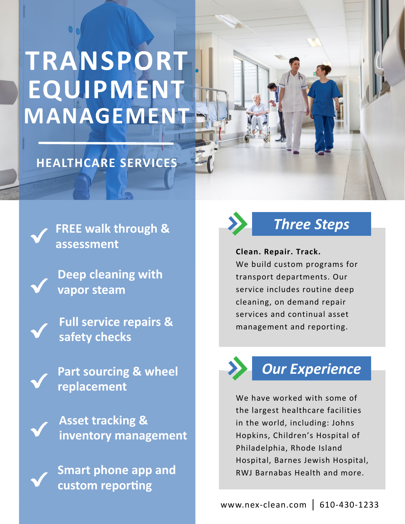# **TRANSPORT EQUIPMENT MANAGEMENT**

### **HEALTHCARE SERVICES**

**FREE walk through & assessment**

**Deep cleaning with vapor steam**

**Full service repairs & safety checks**

**Part sourcing & wheel replacement**

**Asset tracking & inventory management**

**Smart phone app and custom** reporting



### *Three Steps*

**Clean. Repair. Track.** 

We build custom programs for transport departments. Our service includes routine deep cleaning, on demand repair services and continual asset management and reporting.



### *Our Experience*

We have worked with some of the largest healthcare facilities in the world, including: Johns Hopkins, Children's Hospital of Philadelphia, Rhode Island Hospital, Barnes Jewish Hospital, RWJ Barnabas Health and more.